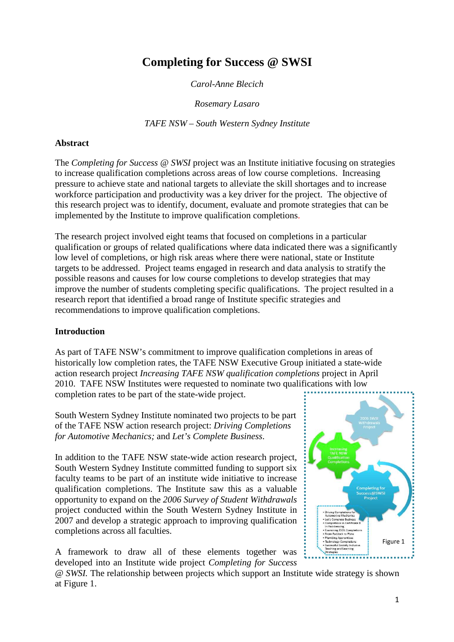# **Completing for Success @ SWSI**

*Carol-Anne Blecich* 

*Rosemary Lasaro* 

*TAFE NSW – South Western Sydney Institute* 

#### **Abstract**

The *Completing for Success @ SWSI* project was an Institute initiative focusing on strategies to increase qualification completions across areas of low course completions. Increasing pressure to achieve state and national targets to alleviate the skill shortages and to increase workforce participation and productivity was a key driver for the project. The objective of this research project was to identify, document, evaluate and promote strategies that can be implemented by the Institute to improve qualification completions.

The research project involved eight teams that focused on completions in a particular qualification or groups of related qualifications where data indicated there was a significantly low level of completions, or high risk areas where there were national, state or Institute targets to be addressed. Project teams engaged in research and data analysis to stratify the possible reasons and causes for low course completions to develop strategies that may improve the number of students completing specific qualifications. The project resulted in a research report that identified a broad range of Institute specific strategies and recommendations to improve qualification completions.

#### **Introduction**

As part of TAFE NSW's commitment to improve qualification completions in areas of historically low completion rates, the TAFE NSW Executive Group initiated a state-wide action research project *Increasing TAFE NSW qualification completions* project in April 2010. TAFE NSW Institutes were requested to nominate two qualifications with low completion rates to be part of the state-wide project.

South Western Sydney Institute nominated two projects to be part of the TAFE NSW action research project: *Driving Completions for Automotive Mechanics;* and *Let's Complete Business*.

In addition to the TAFE NSW state-wide action research project, South Western Sydney Institute committed funding to support six faculty teams to be part of an institute wide initiative to increase qualification completions. The Institute saw this as a valuable opportunity to expand on the *2006 Survey of Student Withdrawals* project conducted within the South Western Sydney Institute in 2007 and develop a strategic approach to improving qualification completions across all faculties.

A framework to draw all of these elements together was developed into an Institute wide project *Completing for Success* 



*@ SWSI.* The relationship between projects which support an Institute wide strategy is shown at Figure 1.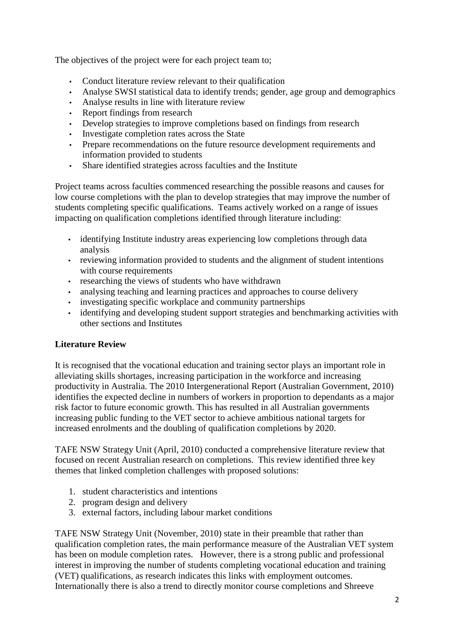The objectives of the project were for each project team to;

- Conduct literature review relevant to their qualification
- Analyse SWSI statistical data to identify trends; gender, age group and demographics
- Analyse results in line with literature review
- Report findings from research
- Develop strategies to improve completions based on findings from research
- Investigate completion rates across the State
- Prepare recommendations on the future resource development requirements and information provided to students
- Share identified strategies across faculties and the Institute

Project teams across faculties commenced researching the possible reasons and causes for low course completions with the plan to develop strategies that may improve the number of students completing specific qualifications. Teams actively worked on a range of issues impacting on qualification completions identified through literature including:

- identifying Institute industry areas experiencing low completions through data analysis
- reviewing information provided to students and the alignment of student intentions with course requirements
- researching the views of students who have withdrawn
- analysing teaching and learning practices and approaches to course delivery
- investigating specific workplace and community partnerships
- identifying and developing student support strategies and benchmarking activities with other sections and Institutes

## **Literature Review**

It is recognised that the vocational education and training sector plays an important role in alleviating skills shortages, increasing participation in the workforce and increasing productivity in Australia. The 2010 Intergenerational Report (Australian Government, 2010) identifies the expected decline in numbers of workers in proportion to dependants as a major risk factor to future economic growth. This has resulted in all Australian governments increasing public funding to the VET sector to achieve ambitious national targets for increased enrolments and the doubling of qualification completions by 2020.

TAFE NSW Strategy Unit (April, 2010) conducted a comprehensive literature review that focused on recent Australian research on completions. This review identified three key themes that linked completion challenges with proposed solutions:

- 1. student characteristics and intentions
- 2. program design and delivery
- 3. external factors, including labour market conditions

TAFE NSW Strategy Unit (November, 2010) state in their preamble that rather than qualification completion rates, the main performance measure of the Australian VET system has been on module completion rates. However, there is a strong public and professional interest in improving the number of students completing vocational education and training (VET) qualifications, as research indicates this links with employment outcomes. Internationally there is also a trend to directly monitor course completions and Shreeve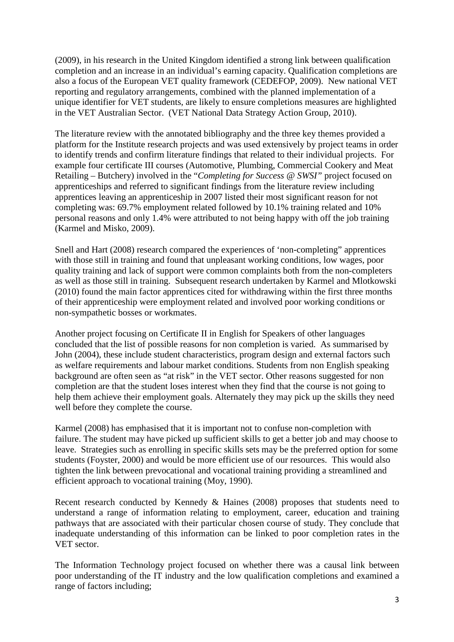(2009), in his research in the United Kingdom identified a strong link between qualification completion and an increase in an individual's earning capacity. Qualification completions are also a focus of the European VET quality framework (CEDEFOP, 2009). New national VET reporting and regulatory arrangements, combined with the planned implementation of a unique identifier for VET students, are likely to ensure completions measures are highlighted in the VET Australian Sector. (VET National Data Strategy Action Group, 2010).

The literature review with the annotated bibliography and the three key themes provided a platform for the Institute research projects and was used extensively by project teams in order to identify trends and confirm literature findings that related to their individual projects. For example four certificate III courses (Automotive, Plumbing, Commercial Cookery and Meat Retailing – Butchery) involved in the "*Completing for Success @ SWSI"* project focused on apprenticeships and referred to significant findings from the literature review including apprentices leaving an apprenticeship in 2007 listed their most significant reason for not completing was: 69.7% employment related followed by 10.1% training related and 10% personal reasons and only 1.4% were attributed to not being happy with off the job training (Karmel and Misko, 2009).

Snell and Hart (2008) research compared the experiences of 'non-completing" apprentices with those still in training and found that unpleasant working conditions, low wages, poor quality training and lack of support were common complaints both from the non-completers as well as those still in training. Subsequent research undertaken by Karmel and Mlotkowski (2010) found the main factor apprentices cited for withdrawing within the first three months of their apprenticeship were employment related and involved poor working conditions or non-sympathetic bosses or workmates.

Another project focusing on Certificate II in English for Speakers of other languages concluded that the list of possible reasons for non completion is varied. As summarised by John (2004), these include student characteristics, program design and external factors such as welfare requirements and labour market conditions. Students from non English speaking background are often seen as "at risk" in the VET sector. Other reasons suggested for non completion are that the student loses interest when they find that the course is not going to help them achieve their employment goals. Alternately they may pick up the skills they need well before they complete the course.

Karmel (2008) has emphasised that it is important not to confuse non-completion with failure. The student may have picked up sufficient skills to get a better job and may choose to leave. Strategies such as enrolling in specific skills sets may be the preferred option for some students (Foyster, 2000) and would be more efficient use of our resources. This would also tighten the link between prevocational and vocational training providing a streamlined and efficient approach to vocational training (Moy, 1990).

Recent research conducted by Kennedy & Haines (2008) proposes that students need to understand a range of information relating to employment, career, education and training pathways that are associated with their particular chosen course of study. They conclude that inadequate understanding of this information can be linked to poor completion rates in the VET sector.

The Information Technology project focused on whether there was a causal link between poor understanding of the IT industry and the low qualification completions and examined a range of factors including;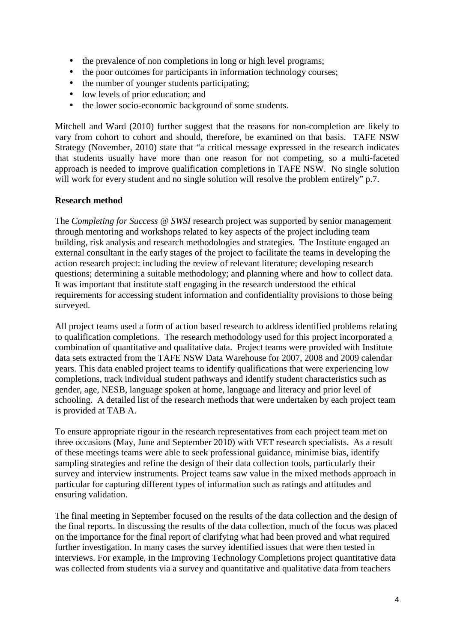- the prevalence of non completions in long or high level programs;
- the poor outcomes for participants in information technology courses;
- the number of younger students participating;
- low levels of prior education: and
- the lower socio-economic background of some students.

Mitchell and Ward (2010) further suggest that the reasons for non-completion are likely to vary from cohort to cohort and should, therefore, be examined on that basis. TAFE NSW Strategy (November, 2010) state that "a critical message expressed in the research indicates that students usually have more than one reason for not competing, so a multi-faceted approach is needed to improve qualification completions in TAFE NSW. No single solution will work for every student and no single solution will resolve the problem entirely" p.7.

### **Research method**

The *Completing for Success @ SWSI* research project was supported by senior management through mentoring and workshops related to key aspects of the project including team building, risk analysis and research methodologies and strategies. The Institute engaged an external consultant in the early stages of the project to facilitate the teams in developing the action research project: including the review of relevant literature; developing research questions; determining a suitable methodology; and planning where and how to collect data. It was important that institute staff engaging in the research understood the ethical requirements for accessing student information and confidentiality provisions to those being surveyed.

All project teams used a form of action based research to address identified problems relating to qualification completions. The research methodology used for this project incorporated a combination of quantitative and qualitative data. Project teams were provided with Institute data sets extracted from the TAFE NSW Data Warehouse for 2007, 2008 and 2009 calendar years. This data enabled project teams to identify qualifications that were experiencing low completions, track individual student pathways and identify student characteristics such as gender, age, NESB, language spoken at home, language and literacy and prior level of schooling. A detailed list of the research methods that were undertaken by each project team is provided at TAB A.

To ensure appropriate rigour in the research representatives from each project team met on three occasions (May, June and September 2010) with VET research specialists. As a result of these meetings teams were able to seek professional guidance, minimise bias, identify sampling strategies and refine the design of their data collection tools, particularly their survey and interview instruments. Project teams saw value in the mixed methods approach in particular for capturing different types of information such as ratings and attitudes and ensuring validation.

The final meeting in September focused on the results of the data collection and the design of the final reports. In discussing the results of the data collection, much of the focus was placed on the importance for the final report of clarifying what had been proved and what required further investigation. In many cases the survey identified issues that were then tested in interviews. For example, in the Improving Technology Completions project quantitative data was collected from students via a survey and quantitative and qualitative data from teachers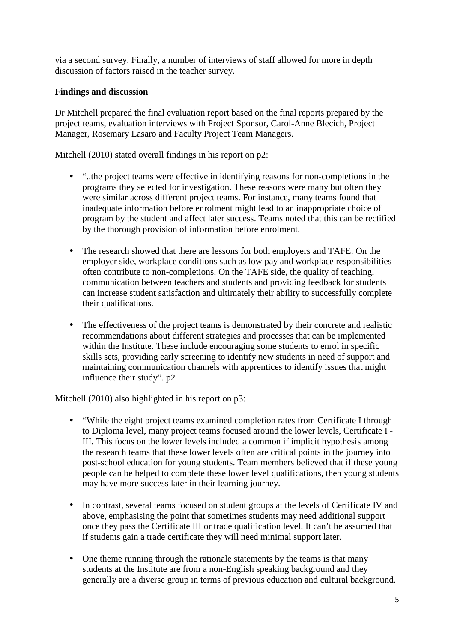via a second survey. Finally, a number of interviews of staff allowed for more in depth discussion of factors raised in the teacher survey.

## **Findings and discussion**

Dr Mitchell prepared the final evaluation report based on the final reports prepared by the project teams, evaluation interviews with Project Sponsor, Carol-Anne Blecich, Project Manager, Rosemary Lasaro and Faculty Project Team Managers.

Mitchell (2010) stated overall findings in his report on p2:

- "..the project teams were effective in identifying reasons for non-completions in the programs they selected for investigation. These reasons were many but often they were similar across different project teams. For instance, many teams found that inadequate information before enrolment might lead to an inappropriate choice of program by the student and affect later success. Teams noted that this can be rectified by the thorough provision of information before enrolment.
- The research showed that there are lessons for both employers and TAFE. On the employer side, workplace conditions such as low pay and workplace responsibilities often contribute to non-completions. On the TAFE side, the quality of teaching, communication between teachers and students and providing feedback for students can increase student satisfaction and ultimately their ability to successfully complete their qualifications.
- The effectiveness of the project teams is demonstrated by their concrete and realistic recommendations about different strategies and processes that can be implemented within the Institute. These include encouraging some students to enrol in specific skills sets, providing early screening to identify new students in need of support and maintaining communication channels with apprentices to identify issues that might influence their study". p2

Mitchell (2010) also highlighted in his report on p3:

- "While the eight project teams examined completion rates from Certificate I through to Diploma level, many project teams focused around the lower levels, Certificate I - III. This focus on the lower levels included a common if implicit hypothesis among the research teams that these lower levels often are critical points in the journey into post-school education for young students. Team members believed that if these young people can be helped to complete these lower level qualifications, then young students may have more success later in their learning journey.
- In contrast, several teams focused on student groups at the levels of Certificate IV and above, emphasising the point that sometimes students may need additional support once they pass the Certificate III or trade qualification level. It can't be assumed that if students gain a trade certificate they will need minimal support later.
- One theme running through the rationale statements by the teams is that many students at the Institute are from a non-English speaking background and they generally are a diverse group in terms of previous education and cultural background.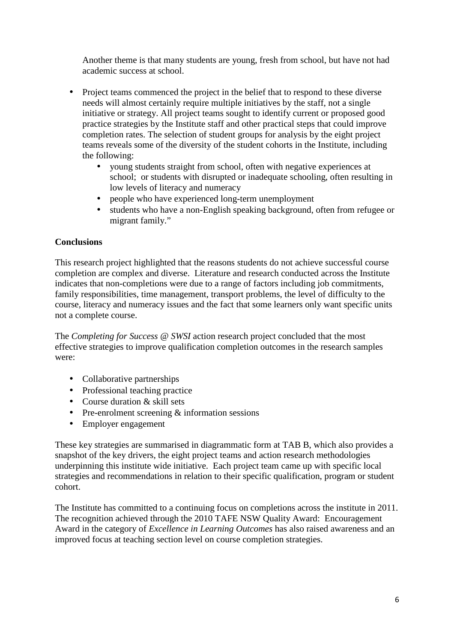Another theme is that many students are young, fresh from school, but have not had academic success at school.

- Project teams commenced the project in the belief that to respond to these diverse needs will almost certainly require multiple initiatives by the staff, not a single initiative or strategy. All project teams sought to identify current or proposed good practice strategies by the Institute staff and other practical steps that could improve completion rates. The selection of student groups for analysis by the eight project teams reveals some of the diversity of the student cohorts in the Institute, including the following:
	- voung students straight from school, often with negative experiences at school; or students with disrupted or inadequate schooling, often resulting in low levels of literacy and numeracy
	- people who have experienced long-term unemployment
	- students who have a non-English speaking background, often from refugee or migrant family."

## **Conclusions**

This research project highlighted that the reasons students do not achieve successful course completion are complex and diverse. Literature and research conducted across the Institute indicates that non-completions were due to a range of factors including job commitments, family responsibilities, time management, transport problems, the level of difficulty to the course, literacy and numeracy issues and the fact that some learners only want specific units not a complete course.

The *Completing for Success @ SWSI* action research project concluded that the most effective strategies to improve qualification completion outcomes in the research samples were:

- Collaborative partnerships
- Professional teaching practice
- Course duration & skill sets
- Pre-enrolment screening & information sessions
- Employer engagement

These key strategies are summarised in diagrammatic form at TAB B, which also provides a snapshot of the key drivers, the eight project teams and action research methodologies underpinning this institute wide initiative. Each project team came up with specific local strategies and recommendations in relation to their specific qualification, program or student cohort.

The Institute has committed to a continuing focus on completions across the institute in 2011. The recognition achieved through the 2010 TAFE NSW Quality Award: Encouragement Award in the category of *Excellence in Learning Outcomes* has also raised awareness and an improved focus at teaching section level on course completion strategies.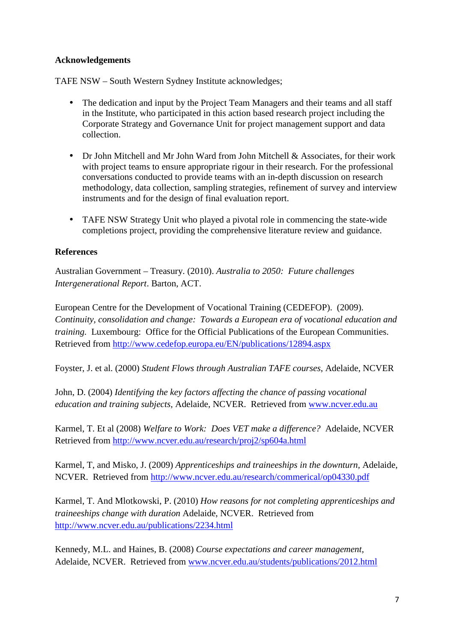### **Acknowledgements**

TAFE NSW – South Western Sydney Institute acknowledges;

- The dedication and input by the Project Team Managers and their teams and all staff in the Institute, who participated in this action based research project including the Corporate Strategy and Governance Unit for project management support and data collection.
- Dr John Mitchell and Mr John Ward from John Mitchell & Associates, for their work with project teams to ensure appropriate rigour in their research. For the professional conversations conducted to provide teams with an in-depth discussion on research methodology, data collection, sampling strategies, refinement of survey and interview instruments and for the design of final evaluation report.
- TAFE NSW Strategy Unit who played a pivotal role in commencing the state-wide completions project, providing the comprehensive literature review and guidance.

### **References**

Australian Government – Treasury. (2010). *Australia to 2050: Future challenges Intergenerational Report*. Barton, ACT.

European Centre for the Development of Vocational Training (CEDEFOP). (2009). *Continuity, consolidation and change: Towards a European era of vocational education and training.* Luxembourg: Office for the Official Publications of the European Communities. Retrieved from http://www.cedefop.europa.eu/EN/publications/12894.aspx

Foyster, J. et al. (2000) *Student Flows through Australian TAFE courses*, Adelaide, NCVER

John, D. (2004) *Identifying the key factors affecting the chance of passing vocational education and training subjects,* Adelaide, NCVER. Retrieved from www.ncver.edu.au

Karmel, T. Et al (2008) *Welfare to Work: Does VET make a difference?* Adelaide, NCVER Retrieved from http://www.ncver.edu.au/research/proj2/sp604a.html

Karmel, T, and Misko, J. (2009) *Apprenticeships and traineeships in the downturn,* Adelaide, NCVER. Retrieved from http://www.ncver.edu.au/research/commerical/op04330.pdf

Karmel, T. And Mlotkowski, P. (2010) *How reasons for not completing apprenticeships and traineeships change with duration* Adelaide, NCVER. Retrieved from http://www.ncver.edu.au/publications/2234.html

Kennedy, M.L. and Haines, B. (2008) *Course expectations and career management,* Adelaide, NCVER. Retrieved from www.ncver.edu.au/students/publications/2012.html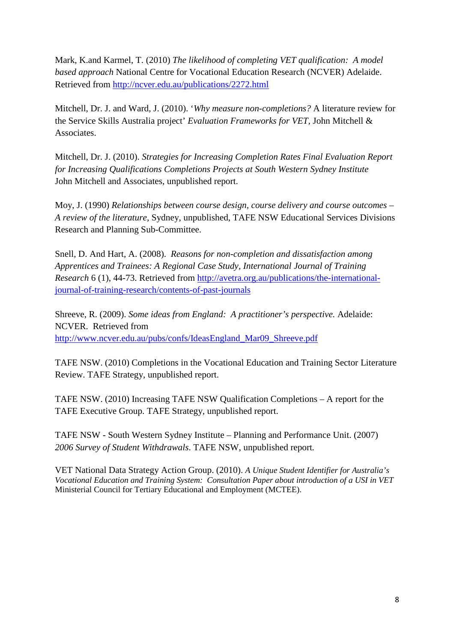Mark, K.and Karmel, T. (2010) *The likelihood of completing VET qualification: A model based approach* National Centre for Vocational Education Research (NCVER) Adelaide. Retrieved from http://ncver.edu.au/publications/2272.html

Mitchell, Dr. J. and Ward, J. (2010). '*Why measure non-completions?* A literature review for the Service Skills Australia project' *Evaluation Frameworks for VET,* John Mitchell & Associates.

Mitchell, Dr. J. (2010). *Strategies for Increasing Completion Rates Final Evaluation Report for Increasing Qualifications Completions Projects at South Western Sydney Institute* John Mitchell and Associates, unpublished report.

Moy, J. (1990) *Relationships between course design, course delivery and course outcomes – A review of the literature,* Sydney, unpublished, TAFE NSW Educational Services Divisions Research and Planning Sub-Committee.

Snell, D. And Hart, A. (2008). *Reasons for non-completion and dissatisfaction among Apprentices and Trainees: A Regional Case Study, International Journal of Training Research* 6 (1), 44-73. Retrieved from http://avetra.org.au/publications/the-internationaljournal-of-training-research/contents-of-past-journals

Shreeve, R. (2009). *Some ideas from England: A practitioner's perspective.* Adelaide: NCVER. Retrieved from http://www.ncver.edu.au/pubs/confs/IdeasEngland\_Mar09\_Shreeve.pdf

TAFE NSW. (2010) Completions in the Vocational Education and Training Sector Literature Review. TAFE Strategy, unpublished report.

TAFE NSW. (2010) Increasing TAFE NSW Qualification Completions – A report for the TAFE Executive Group. TAFE Strategy, unpublished report.

TAFE NSW - South Western Sydney Institute – Planning and Performance Unit. (2007) *2006 Survey of Student Withdrawals*. TAFE NSW, unpublished report*.* 

VET National Data Strategy Action Group. (2010). *A Unique Student Identifier for Australia's Vocational Education and Training System: Consultation Paper about introduction of a USI in VET* Ministerial Council for Tertiary Educational and Employment (MCTEE).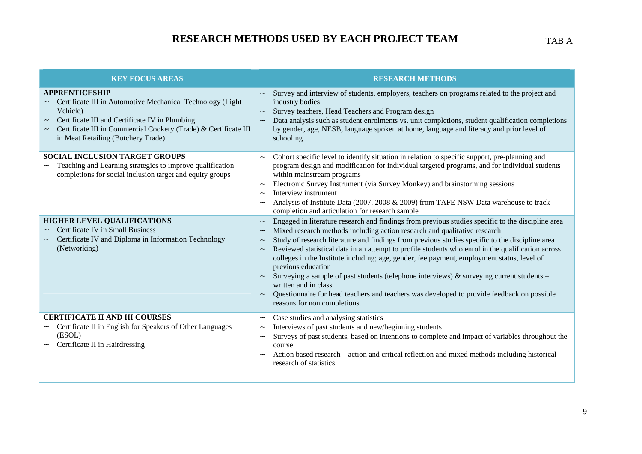## **RESEARCH METHODS USED BY EACH PROJECT TEAM**

| <b>KEY FOCUS AREAS</b>                                                                                                                                                                                                                                                                  | <b>RESEARCH METHODS</b>                                                                                                                                                                                                                                                                                                                                                                                                                                                                                                                                                                                                                                                                                                                                                                      |
|-----------------------------------------------------------------------------------------------------------------------------------------------------------------------------------------------------------------------------------------------------------------------------------------|----------------------------------------------------------------------------------------------------------------------------------------------------------------------------------------------------------------------------------------------------------------------------------------------------------------------------------------------------------------------------------------------------------------------------------------------------------------------------------------------------------------------------------------------------------------------------------------------------------------------------------------------------------------------------------------------------------------------------------------------------------------------------------------------|
| <b>APPRENTICESHIP</b><br>Certificate III in Automotive Mechanical Technology (Light<br>Vehicle)<br>Certificate III and Certificate IV in Plumbing<br>$\widetilde{\phantom{m}}$<br>Certificate III in Commercial Cookery (Trade) & Certificate III<br>in Meat Retailing (Butchery Trade) | Survey and interview of students, employers, teachers on programs related to the project and<br>industry bodies<br>Survey teachers, Head Teachers and Program design<br>Data analysis such as student enrolments vs. unit completions, student qualification completions<br>by gender, age, NESB, language spoken at home, language and literacy and prior level of<br>schooling                                                                                                                                                                                                                                                                                                                                                                                                             |
| <b>SOCIAL INCLUSION TARGET GROUPS</b><br>Teaching and Learning strategies to improve qualification<br>completions for social inclusion target and equity groups                                                                                                                         | Cohort specific level to identify situation in relation to specific support, pre-planning and<br>program design and modification for individual targeted programs, and for individual students<br>within mainstream programs<br>Electronic Survey Instrument (via Survey Monkey) and brainstorming sessions<br>$\widetilde{\phantom{m}}$<br>Interview instrument<br>Analysis of Institute Data (2007, 2008 & 2009) from TAFE NSW Data warehouse to track<br>completion and articulation for research sample                                                                                                                                                                                                                                                                                  |
| <b>HIGHER LEVEL QUALIFICATIONS</b><br><b>Certificate IV in Small Business</b><br>Certificate IV and Diploma in Information Technology<br>(Networking)                                                                                                                                   | Engaged in literature research and findings from previous studies specific to the discipline area<br>Mixed research methods including action research and qualitative research<br>Study of research literature and findings from previous studies specific to the discipline area<br>$\widetilde{\phantom{m}}$<br>Reviewed statistical data in an attempt to profile students who enrol in the qualification across<br>colleges in the Institute including; age, gender, fee payment, employment status, level of<br>previous education<br>Surveying a sample of past students (telephone interviews) & surveying current students $-$<br>written and in class<br>Questionnaire for head teachers and teachers was developed to provide feedback on possible<br>reasons for non completions. |
| <b>CERTIFICATE II AND III COURSES</b><br>Certificate II in English for Speakers of Other Languages<br>$\tilde{\phantom{a}}$<br>(ESOL)<br>Certificate II in Hairdressing                                                                                                                 | Case studies and analysing statistics<br>Interviews of past students and new/beginning students<br>Surveys of past students, based on intentions to complete and impact of variables throughout the<br>course<br>Action based research – action and critical reflection and mixed methods including historical<br>research of statistics                                                                                                                                                                                                                                                                                                                                                                                                                                                     |